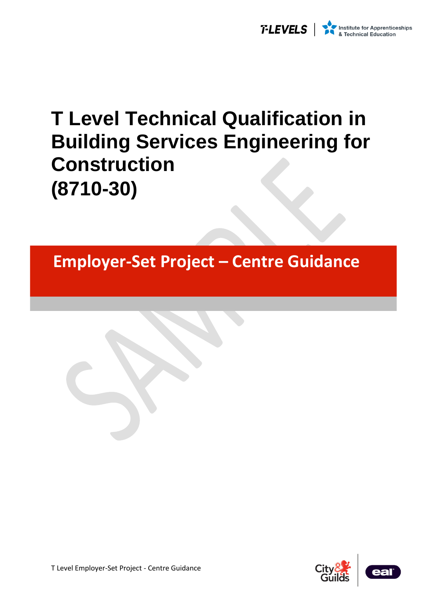

# **T Level Technical Qualification in Building Services Engineering for Construction (8710-30)**

**Employer-Set Project – Centre Guidance** 

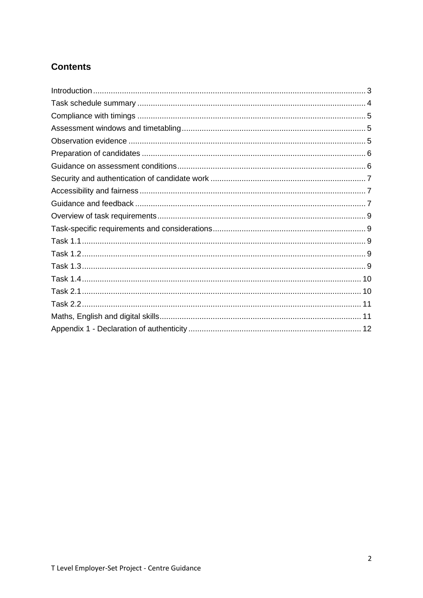### **Contents**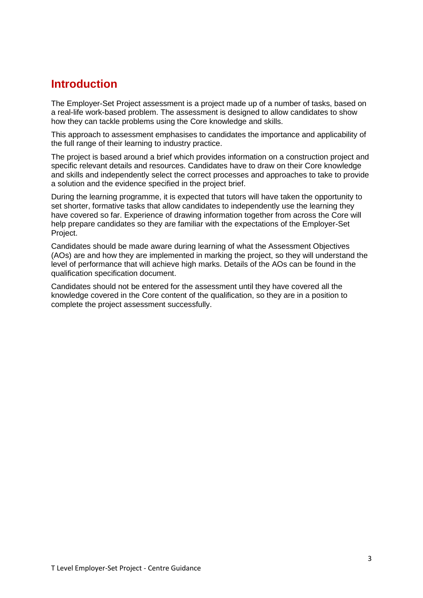### <span id="page-2-0"></span>**Introduction**

The Employer-Set Project assessment is a project made up of a number of tasks, based on a real-life work-based problem. The assessment is designed to allow candidates to show how they can tackle problems using the Core knowledge and skills.

This approach to assessment emphasises to candidates the importance and applicability of the full range of their learning to industry practice.

The project is based around a brief which provides information on a construction project and specific relevant details and resources. Candidates have to draw on their Core knowledge and skills and independently select the correct processes and approaches to take to provide a solution and the evidence specified in the project brief.

During the learning programme, it is expected that tutors will have taken the opportunity to set shorter, formative tasks that allow candidates to independently use the learning they have covered so far. Experience of drawing information together from across the Core will help prepare candidates so they are familiar with the expectations of the Employer-Set Project.

Candidates should be made aware during learning of what the Assessment Objectives (AOs) are and how they are implemented in marking the project, so they will understand the level of performance that will achieve high marks. Details of the AOs can be found in the qualification specification document.

Candidates should not be entered for the assessment until they have covered all the knowledge covered in the Core content of the qualification, so they are in a position to complete the project assessment successfully.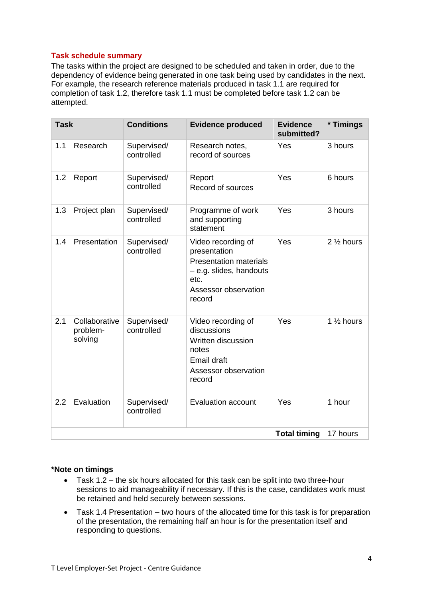### <span id="page-3-0"></span>**Task schedule summary**

The tasks within the project are designed to be scheduled and taken in order, due to the dependency of evidence being generated in one task being used by candidates in the next. For example, the research reference materials produced in task 1.1 are required for completion of task 1.2, therefore task 1.1 must be completed before task 1.2 can be attempted.

| <b>Task</b>         |                                      | <b>Conditions</b>         | <b>Evidence produced</b>                                                                                                                 | <b>Evidence</b><br>submitted? | * Timings             |
|---------------------|--------------------------------------|---------------------------|------------------------------------------------------------------------------------------------------------------------------------------|-------------------------------|-----------------------|
| 1.1                 | Research                             | Supervised/<br>controlled | Research notes,<br>record of sources                                                                                                     | Yes                           | 3 hours               |
| 1.2                 | Report                               | Supervised/<br>controlled | Report<br>Record of sources                                                                                                              | Yes                           | 6 hours               |
| 1.3                 | Project plan                         | Supervised/<br>controlled | Programme of work<br>and supporting<br>statement                                                                                         | Yes                           | 3 hours               |
| 1.4                 | Presentation                         | Supervised/<br>controlled | Video recording of<br>presentation<br><b>Presentation materials</b><br>- e.g. slides, handouts<br>etc.<br>Assessor observation<br>record | Yes                           | 2 1/2 hours           |
| 2.1                 | Collaborative<br>problem-<br>solving | Supervised/<br>controlled | Video recording of<br>discussions<br>Written discussion<br>notes<br><b>Email draft</b><br>Assessor observation<br>record                 | Yes                           | 1 $\frac{1}{2}$ hours |
| 2.2                 | Evaluation                           | Supervised/<br>controlled | <b>Evaluation account</b>                                                                                                                | Yes                           | 1 hour                |
| <b>Total timing</b> |                                      |                           |                                                                                                                                          | 17 hours                      |                       |

### **\*Note on timings**

- Task 1.2 the six hours allocated for this task can be split into two three-hour sessions to aid manageability if necessary. If this is the case, candidates work must be retained and held securely between sessions.
- Task 1.4 Presentation two hours of the allocated time for this task is for preparation of the presentation, the remaining half an hour is for the presentation itself and responding to questions.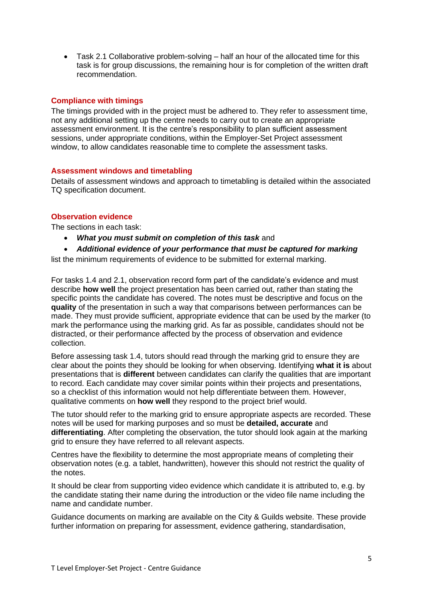• Task 2.1 Collaborative problem-solving – half an hour of the allocated time for this task is for group discussions, the remaining hour is for completion of the written draft recommendation.

### <span id="page-4-0"></span>**Compliance with timings**

The timings provided with in the project must be adhered to. They refer to assessment time, not any additional setting up the centre needs to carry out to create an appropriate assessment environment. It is the centre's responsibility to plan sufficient assessment sessions, under appropriate conditions, within the Employer-Set Project assessment window, to allow candidates reasonable time to complete the assessment tasks.

### <span id="page-4-1"></span>**Assessment windows and timetabling**

Details of assessment windows and approach to timetabling is detailed within the associated TQ specification document.

### <span id="page-4-2"></span>**Observation evidence**

The sections in each task:

- *What you must submit on completion of this task* and
- *Additional evidence of your performance that must be captured for marking*

list the minimum requirements of evidence to be submitted for external marking.

For tasks 1.4 and 2.1, observation record form part of the candidate's evidence and must describe **how well** the project presentation has been carried out, rather than stating the specific points the candidate has covered. The notes must be descriptive and focus on the **quality** of the presentation in such a way that comparisons between performances can be made. They must provide sufficient, appropriate evidence that can be used by the marker (to mark the performance using the marking grid. As far as possible, candidates should not be distracted, or their performance affected by the process of observation and evidence collection.

Before assessing task 1.4, tutors should read through the marking grid to ensure they are clear about the points they should be looking for when observing. Identifying **what it is** about presentations that is **different** between candidates can clarify the qualities that are important to record. Each candidate may cover similar points within their projects and presentations, so a checklist of this information would not help differentiate between them. However, qualitative comments on **how well** they respond to the project brief would.

The tutor should refer to the marking grid to ensure appropriate aspects are recorded. These notes will be used for marking purposes and so must be **detailed, accurate** and **differentiating**. After completing the observation, the tutor should look again at the marking grid to ensure they have referred to all relevant aspects.

Centres have the flexibility to determine the most appropriate means of completing their observation notes (e.g. a tablet, handwritten), however this should not restrict the quality of the notes.

It should be clear from supporting video evidence which candidate it is attributed to, e.g. by the candidate stating their name during the introduction or the video file name including the name and candidate number.

Guidance documents on marking are available on the City & Guilds website. These provide further information on preparing for assessment, evidence gathering, standardisation,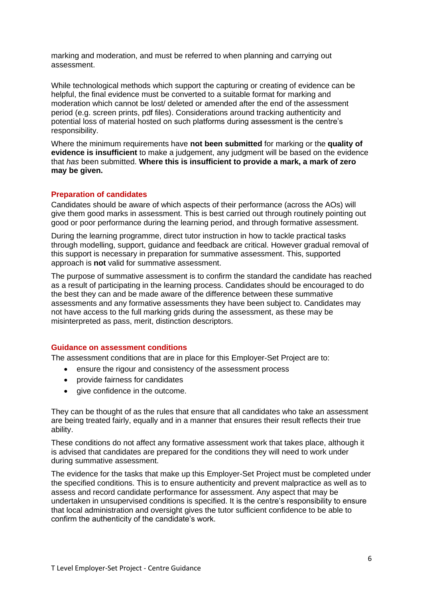marking and moderation, and must be referred to when planning and carrying out assessment.

While technological methods which support the capturing or creating of evidence can be helpful, the final evidence must be converted to a suitable format for marking and moderation which cannot be lost/ deleted or amended after the end of the assessment period (e.g. screen prints, pdf files). Considerations around tracking authenticity and potential loss of material hosted on such platforms during assessment is the centre's responsibility.

Where the minimum requirements have **not been submitted** for marking or the **quality of evidence is insufficient** to make a judgement, any judgment will be based on the evidence that *has* been submitted. **Where this is insufficient to provide a mark, a mark of zero may be given.**

### <span id="page-5-0"></span>**Preparation of candidates**

Candidates should be aware of which aspects of their performance (across the AOs) will give them good marks in assessment. This is best carried out through routinely pointing out good or poor performance during the learning period, and through formative assessment.

During the learning programme, direct tutor instruction in how to tackle practical tasks through modelling, support, guidance and feedback are critical. However gradual removal of this support is necessary in preparation for summative assessment. This, supported approach is **not** valid for summative assessment.

The purpose of summative assessment is to confirm the standard the candidate has reached as a result of participating in the learning process. Candidates should be encouraged to do the best they can and be made aware of the difference between these summative assessments and any formative assessments they have been subject to. Candidates may not have access to the full marking grids during the assessment, as these may be misinterpreted as pass, merit, distinction descriptors.

### <span id="page-5-1"></span>**Guidance on assessment conditions**

The assessment conditions that are in place for this Employer-Set Project are to:

- ensure the rigour and consistency of the assessment process
- provide fairness for candidates
- give confidence in the outcome.

They can be thought of as the rules that ensure that all candidates who take an assessment are being treated fairly, equally and in a manner that ensures their result reflects their true ability.

These conditions do not affect any formative assessment work that takes place, although it is advised that candidates are prepared for the conditions they will need to work under during summative assessment.

The evidence for the tasks that make up this Employer-Set Project must be completed under the specified conditions. This is to ensure authenticity and prevent malpractice as well as to assess and record candidate performance for assessment. Any aspect that may be undertaken in unsupervised conditions is specified. It is the centre's responsibility to ensure that local administration and oversight gives the tutor sufficient confidence to be able to confirm the authenticity of the candidate's work.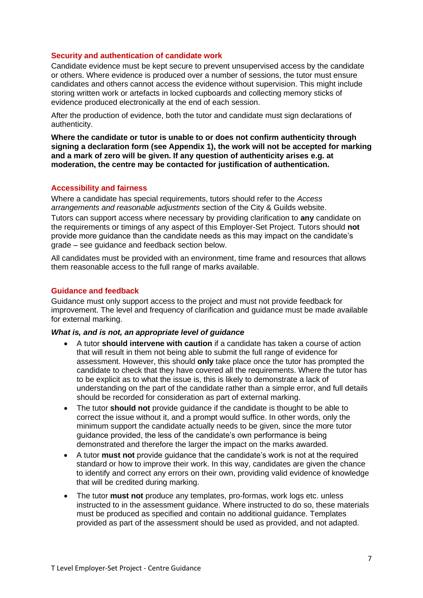### <span id="page-6-0"></span>**Security and authentication of candidate work**

Candidate evidence must be kept secure to prevent unsupervised access by the candidate or others. Where evidence is produced over a number of sessions, the tutor must ensure candidates and others cannot access the evidence without supervision. This might include storing written work or artefacts in locked cupboards and collecting memory sticks of evidence produced electronically at the end of each session.

After the production of evidence, both the tutor and candidate must sign declarations of authenticity.

**Where the candidate or tutor is unable to or does not confirm authenticity through signing a declaration form (see Appendix 1), the work will not be accepted for marking and a mark of zero will be given. If any question of authenticity arises e.g. at moderation, the centre may be contacted for justification of authentication.**

### <span id="page-6-1"></span>**Accessibility and fairness**

Where a candidate has special requirements, tutors should refer to the *Access arrangements and reasonable adjustments* section of the City & Guilds website. Tutors can support access where necessary by providing clarification to **any** candidate on the requirements or timings of any aspect of this Employer-Set Project. Tutors should **not** provide more guidance than the candidate needs as this may impact on the candidate's grade – see guidance and feedback section below.

All candidates must be provided with an environment, time frame and resources that allows them reasonable access to the full range of marks available.

### <span id="page-6-2"></span>**Guidance and feedback**

Guidance must only support access to the project and must not provide feedback for improvement. The level and frequency of clarification and guidance must be made available for external marking.

### *What is, and is not, an appropriate level of guidance*

- A tutor **should intervene with caution** if a candidate has taken a course of action that will result in them not being able to submit the full range of evidence for assessment. However, this should **only** take place once the tutor has prompted the candidate to check that they have covered all the requirements. Where the tutor has to be explicit as to what the issue is, this is likely to demonstrate a lack of understanding on the part of the candidate rather than a simple error, and full details should be recorded for consideration as part of external marking.
- The tutor **should not** provide guidance if the candidate is thought to be able to correct the issue without it, and a prompt would suffice. In other words, only the minimum support the candidate actually needs to be given, since the more tutor guidance provided, the less of the candidate's own performance is being demonstrated and therefore the larger the impact on the marks awarded.
- A tutor **must not** provide guidance that the candidate's work is not at the required standard or how to improve their work. In this way, candidates are given the chance to identify and correct any errors on their own, providing valid evidence of knowledge that will be credited during marking.
- The tutor **must not** produce any templates, pro-formas, work logs etc. unless instructed to in the assessment guidance. Where instructed to do so, these materials must be produced as specified and contain no additional guidance. Templates provided as part of the assessment should be used as provided, and not adapted.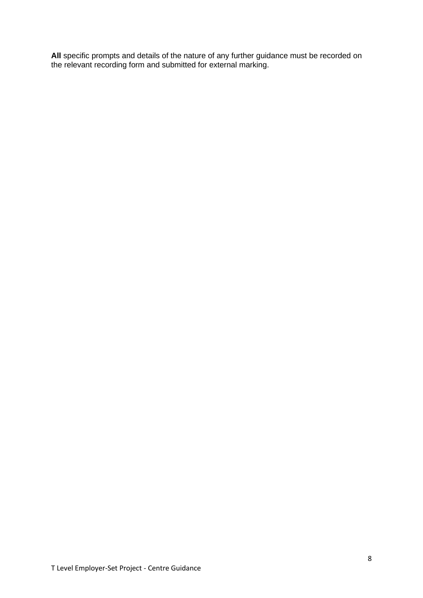<span id="page-7-0"></span>**All** specific prompts and details of the nature of any further guidance must be recorded on the relevant recording form and submitted for external marking.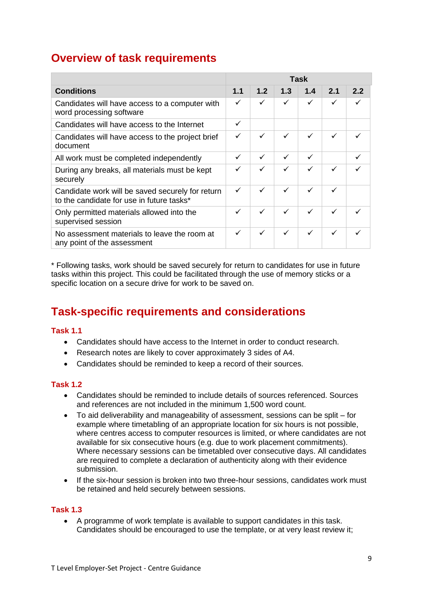### **Overview of task requirements**

|                                                                                               | Task |     |     |     |     |     |
|-----------------------------------------------------------------------------------------------|------|-----|-----|-----|-----|-----|
| <b>Conditions</b>                                                                             | 1.1  | 1.2 | 1.3 | 1.4 | 2.1 | 2.2 |
| Candidates will have access to a computer with<br>word processing software                    | ✓    | ✓   | ✓   | ✓   | ✓   |     |
| Candidates will have access to the Internet                                                   | ✓    |     |     |     |     |     |
| Candidates will have access to the project brief<br>document                                  | ✓    | ✓   | ✓   | ✓   | ✓   | ✓   |
| All work must be completed independently                                                      | ✓    | ✓   | ✓   | ✓   |     |     |
| During any breaks, all materials must be kept<br>securely                                     |      | ✓   | ✓   | ✓   |     |     |
| Candidate work will be saved securely for return<br>to the candidate for use in future tasks* | ✓    | ✓   | ✓   | ✓   |     |     |
| Only permitted materials allowed into the<br>supervised session                               | ✓    | ✓   | ✓   | ✓   | ✓   |     |
| No assessment materials to leave the room at<br>any point of the assessment                   | ✓    | ✓   | ✓   | ✓   | ✓   |     |

\* Following tasks, work should be saved securely for return to candidates for use in future tasks within this project. This could be facilitated through the use of memory sticks or a specific location on a secure drive for work to be saved on.

## <span id="page-8-0"></span>**Task-specific requirements and considerations**

### <span id="page-8-1"></span>**Task 1.1**

- Candidates should have access to the Internet in order to conduct research.
- Research notes are likely to cover approximately 3 sides of A4.
- Candidates should be reminded to keep a record of their sources.

### <span id="page-8-2"></span>**Task 1.2**

- Candidates should be reminded to include details of sources referenced. Sources and references are not included in the minimum 1,500 word count.
- To aid deliverability and manageability of assessment, sessions can be split for example where timetabling of an appropriate location for six hours is not possible, where centres access to computer resources is limited, or where candidates are not available for six consecutive hours (e.g. due to work placement commitments). Where necessary sessions can be timetabled over consecutive days. All candidates are required to complete a declaration of authenticity along with their evidence submission.
- If the six-hour session is broken into two three-hour sessions, candidates work must be retained and held securely between sessions.

### <span id="page-8-3"></span>**Task 1.3**

• A programme of work template is available to support candidates in this task. Candidates should be encouraged to use the template, or at very least review it;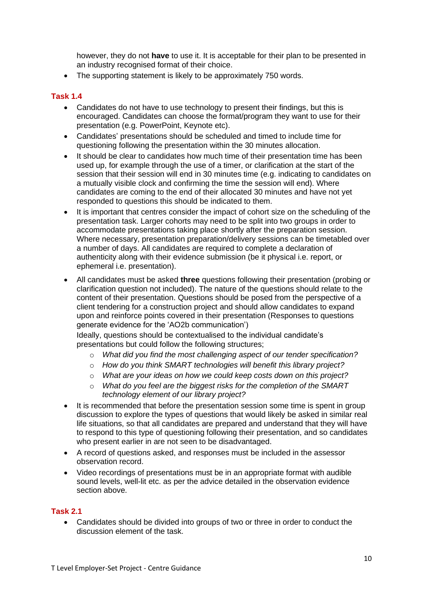however, they do not **have** to use it. It is acceptable for their plan to be presented in an industry recognised format of their choice.

• The supporting statement is likely to be approximately 750 words.

### <span id="page-9-0"></span>**Task 1.4**

- Candidates do not have to use technology to present their findings, but this is encouraged. Candidates can choose the format/program they want to use for their presentation (e.g. PowerPoint, Keynote etc).
- Candidates' presentations should be scheduled and timed to include time for questioning following the presentation within the 30 minutes allocation.
- It should be clear to candidates how much time of their presentation time has been used up, for example through the use of a timer, or clarification at the start of the session that their session will end in 30 minutes time (e.g. indicating to candidates on a mutually visible clock and confirming the time the session will end). Where candidates are coming to the end of their allocated 30 minutes and have not yet responded to questions this should be indicated to them.
- It is important that centres consider the impact of cohort size on the scheduling of the presentation task. Larger cohorts may need to be split into two groups in order to accommodate presentations taking place shortly after the preparation session. Where necessary, presentation preparation/delivery sessions can be timetabled over a number of days. All candidates are required to complete a declaration of authenticity along with their evidence submission (be it physical i.e. report, or ephemeral i.e. presentation).
- All candidates must be asked **three** questions following their presentation (probing or clarification question not included). The nature of the questions should relate to the content of their presentation. Questions should be posed from the perspective of a client tendering for a construction project and should allow candidates to expand upon and reinforce points covered in their presentation (Responses to questions generate evidence for the 'AO2b communication')

Ideally, questions should be contextualised to the individual candidate's presentations but could follow the following structures;

- o *What did you find the most challenging aspect of our tender specification?*
- o *How do you think SMART technologies will benefit this library project?*
- o *What are your ideas on how we could keep costs down on this project?*
- o *What do you feel are the biggest risks for the completion of the SMART technology element of our library project?*
- It is recommended that before the presentation session some time is spent in group discussion to explore the types of questions that would likely be asked in similar real life situations, so that all candidates are prepared and understand that they will have to respond to this type of questioning following their presentation, and so candidates who present earlier in are not seen to be disadvantaged.
- A record of questions asked, and responses must be included in the assessor observation record.
- Video recordings of presentations must be in an appropriate format with audible sound levels, well-lit etc. as per the advice detailed in the observation evidence section above.

### <span id="page-9-1"></span>**Task 2.1**

• Candidates should be divided into groups of two or three in order to conduct the discussion element of the task.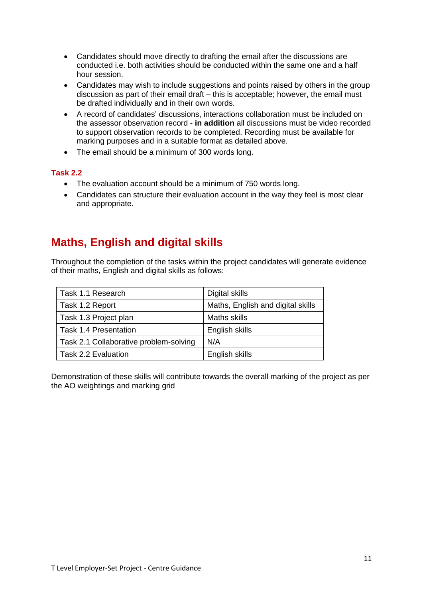- Candidates should move directly to drafting the email after the discussions are conducted i.e. both activities should be conducted within the same one and a half hour session.
- Candidates may wish to include suggestions and points raised by others in the group discussion as part of their email draft – this is acceptable; however, the email must be drafted individually and in their own words.
- A record of candidates' discussions, interactions collaboration must be included on the assessor observation record - **in addition** all discussions must be video recorded to support observation records to be completed. Recording must be available for marking purposes and in a suitable format as detailed above.
- The email should be a minimum of 300 words long.

### <span id="page-10-0"></span>**Task 2.2**

- The evaluation account should be a minimum of 750 words long.
- Candidates can structure their evaluation account in the way they feel is most clear and appropriate.

# <span id="page-10-1"></span>**Maths, English and digital skills**

Throughout the completion of the tasks within the project candidates will generate evidence of their maths, English and digital skills as follows:

| Task 1.1 Research                      | Digital skills                    |
|----------------------------------------|-----------------------------------|
| Task 1.2 Report                        | Maths, English and digital skills |
| Task 1.3 Project plan                  | <b>Maths skills</b>               |
| <b>Task 1.4 Presentation</b>           | English skills                    |
| Task 2.1 Collaborative problem-solving | N/A                               |
| Task 2.2 Evaluation                    | English skills                    |

Demonstration of these skills will contribute towards the overall marking of the project as per the AO weightings and marking grid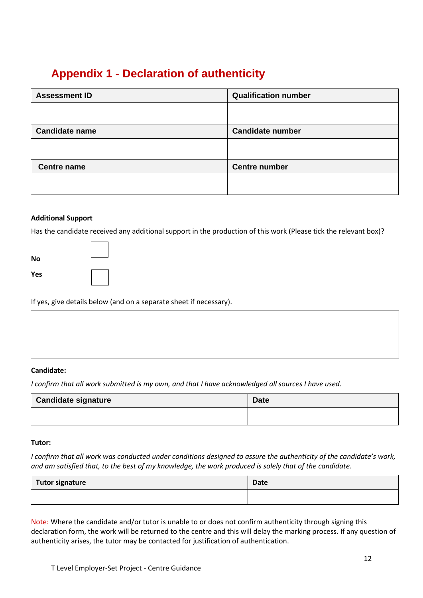# <span id="page-11-0"></span>**Appendix 1 - Declaration of authenticity**

| <b>Assessment ID</b>  | <b>Qualification number</b> |
|-----------------------|-----------------------------|
|                       |                             |
|                       |                             |
| <b>Candidate name</b> | <b>Candidate number</b>     |
|                       |                             |
|                       |                             |
| <b>Centre name</b>    | <b>Centre number</b>        |
|                       |                             |
|                       |                             |
|                       |                             |

### **Additional Support**

Has the candidate received any additional support in the production of this work (Please tick the relevant box)?

| No  |  |
|-----|--|
| Yes |  |

If yes, give details below (and on a separate sheet if necessary).

### **Candidate:**

*I confirm that all work submitted is my own, and that I have acknowledged all sources I have used.*

| <b>Candidate signature</b> | <b>Date</b> |
|----------------------------|-------------|
|                            |             |

#### **Tutor:**

*I confirm that all work was conducted under conditions designed to assure the authenticity of the candidate's work, and am satisfied that, to the best of my knowledge, the work produced is solely that of the candidate.*

| <b>Tutor signature</b> | Date |
|------------------------|------|
|                        |      |

Note: Where the candidate and/or tutor is unable to or does not confirm authenticity through signing this declaration form, the work will be returned to the centre and this will delay the marking process. If any question of authenticity arises, the tutor may be contacted for justification of authentication.